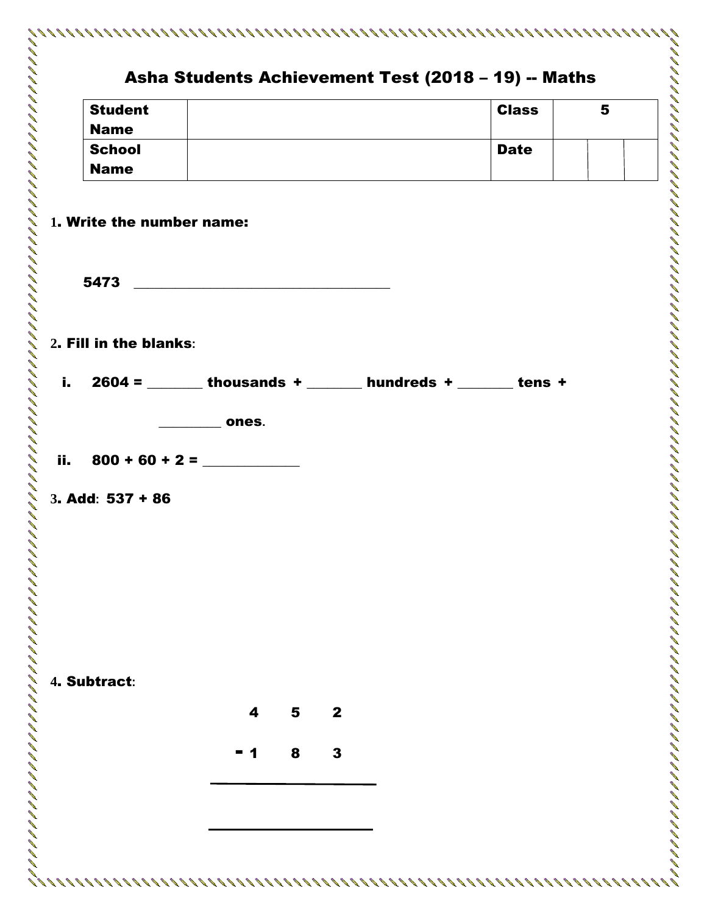|      |                                                                 |       |   |              | Asha Students Achievement Test (2018 - 19) -- Maths |   |
|------|-----------------------------------------------------------------|-------|---|--------------|-----------------------------------------------------|---|
|      | <b>Student</b>                                                  |       |   |              | <b>Class</b>                                        | 5 |
|      | <b>Name</b>                                                     |       |   |              |                                                     |   |
|      | <b>School</b>                                                   |       |   |              | <b>Date</b>                                         |   |
|      | <b>Name</b>                                                     |       |   |              |                                                     |   |
|      | 1. Write the number name:                                       |       |   |              |                                                     |   |
|      |                                                                 |       |   |              |                                                     |   |
|      | 5473                                                            |       |   |              |                                                     |   |
|      |                                                                 |       |   |              |                                                     |   |
|      | 2. Fill in the blanks:                                          |       |   |              |                                                     |   |
| i. I | $2604 =$ ________ thousands + _______ hundreds + _______ tens + |       |   |              |                                                     |   |
|      |                                                                 | ones. |   |              |                                                     |   |
|      | ii. $800 + 60 + 2 =$                                            |       |   |              |                                                     |   |
|      | 3. Add: 537 + 86                                                |       |   |              |                                                     |   |
|      |                                                                 |       |   |              |                                                     |   |
|      |                                                                 |       |   |              |                                                     |   |
|      |                                                                 |       |   |              |                                                     |   |
|      |                                                                 |       |   |              |                                                     |   |
|      |                                                                 |       |   |              |                                                     |   |
|      |                                                                 |       |   |              |                                                     |   |
|      |                                                                 |       |   |              |                                                     |   |
|      | 4. Subtract:                                                    |       |   |              |                                                     |   |
|      |                                                                 | 4     | 5 | $\mathbf{2}$ |                                                     |   |
|      |                                                                 |       |   |              |                                                     |   |
|      |                                                                 | - 1   | 8 | 3            |                                                     |   |
|      |                                                                 |       |   |              |                                                     |   |
|      |                                                                 |       |   |              |                                                     |   |
|      |                                                                 |       |   |              |                                                     |   |
|      |                                                                 |       |   |              |                                                     |   |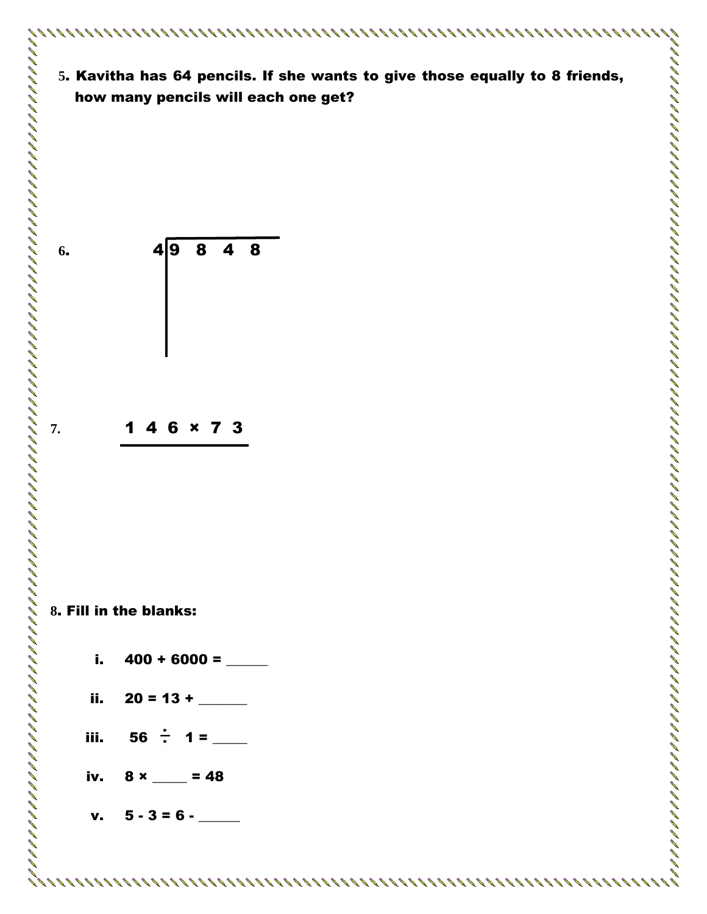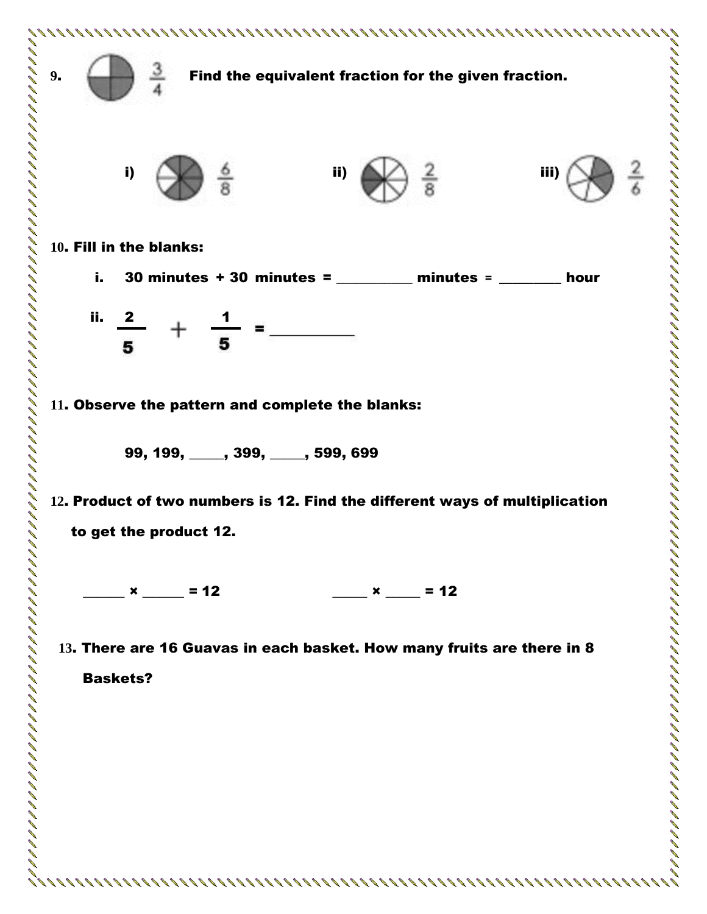